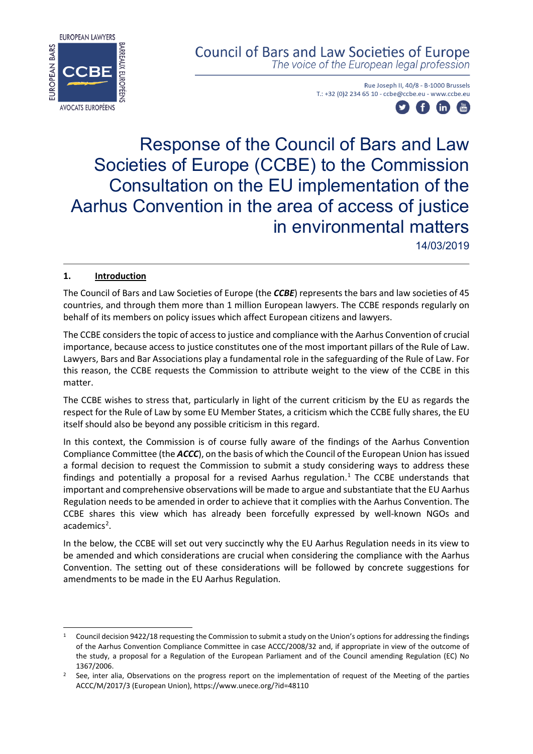

## **Council of Bars and Law Societies of Europe**

The voice of the European legal profession

Rue Joseph II, 40/8 - B-1000 Brussels T.: +32 (0)2 234 65 10 - ccbe@ccbe.eu - www.ccbe.eu



# Response of the Council of Bars and Law Societies of Europe (CCBE) to the Commission Consultation on the EU implementation of the Aarhus Convention in the area of access of justice in environmental matters

14/03/2019

## **1. Introduction**

The Council of Bars and Law Societies of Europe (the *CCBE*) represents the bars and law societies of 45 countries, and through them more than 1 million European lawyers. The CCBE responds regularly on behalf of its members on policy issues which affect European citizens and lawyers.

The CCBE considers the topic of access to justice and compliance with the Aarhus Convention of crucial importance, because access to justice constitutes one of the most important pillars of the Rule of Law. Lawyers, Bars and Bar Associations play a fundamental role in the safeguarding of the Rule of Law. For this reason, the CCBE requests the Commission to attribute weight to the view of the CCBE in this matter.

The CCBE wishes to stress that, particularly in light of the current criticism by the EU as regards the respect for the Rule of Law by some EU Member States, a criticism which the CCBE fully shares, the EU itself should also be beyond any possible criticism in this regard.

In this context, the Commission is of course fully aware of the findings of the Aarhus Convention Compliance Committee (the *ACCC*), on the basis of which the Council of the European Union has issued a formal decision to request the Commission to submit a study considering ways to address these findings and potentially a proposal for a revised Aarhus regulation.[1](#page-0-0) The CCBE understands that important and comprehensive observations will be made to argue and substantiate that the EU Aarhus Regulation needs to be amended in order to achieve that it complies with the Aarhus Convention. The CCBE shares this view which has already been forcefully expressed by well-known NGOs and academics<sup>[2](#page-0-1)</sup>.

In the below, the CCBE will set out very succinctly why the EU Aarhus Regulation needs in its view to be amended and which considerations are crucial when considering the compliance with the Aarhus Convention. The setting out of these considerations will be followed by concrete suggestions for amendments to be made in the EU Aarhus Regulation.

<span id="page-0-0"></span><sup>1</sup> Council decision 9422/18 requesting the Commission to submit a study on the Union's options for addressing the findings of the Aarhus Convention Compliance Committee in case ACCC/2008/32 and, if appropriate in view of the outcome of the study, a proposal for a Regulation of the European Parliament and of the Council amending Regulation (EC) No 1367/2006.

<span id="page-0-1"></span><sup>&</sup>lt;sup>2</sup> See, inter alia, Observations on the progress report on the implementation of request of the Meeting of the parties ACCC/M/2017/3 (European Union), https://www.unece.org/?id=48110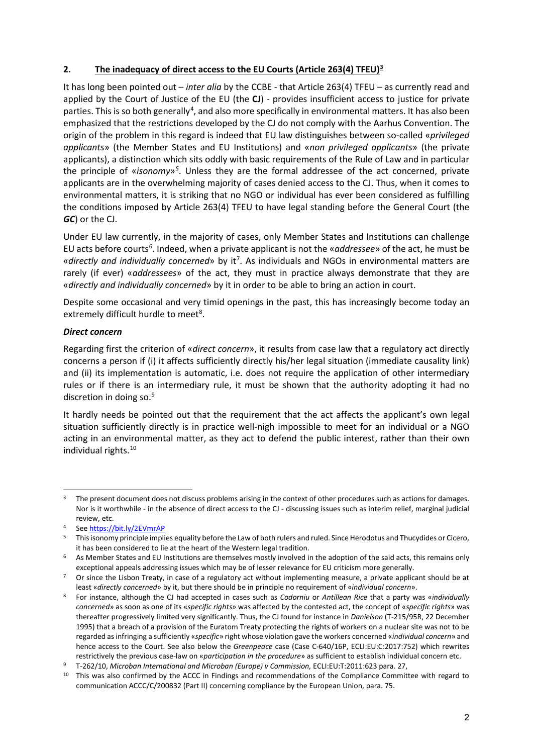## **2. The inadequacy of direct access to the EU Courts (Article 263(4) TFEU)[3](#page-1-0)**

It has long been pointed out – *inter alia* by the CCBE - that Article 263(4) TFEU – as currently read and applied by the Court of Justice of the EU (the **CJ**) - provides insufficient access to justice for private parties. This is so both generally<sup>[4](#page-1-1)</sup>, and also more specifically in environmental matters. It has also been emphasized that the restrictions developed by the CJ do not comply with the Aarhus Convention. The origin of the problem in this regard is indeed that EU law distinguishes between so-called «*privileged applicants*» (the Member States and EU Institutions) and «*non privileged applicants*» (the private applicants), a distinction which sits oddly with basic requirements of the Rule of Law and in particular the principle of «*isonomy*»*[5](#page-1-2)* . Unless they are the formal addressee of the act concerned, private applicants are in the overwhelming majority of cases denied access to the CJ. Thus, when it comes to environmental matters, it is striking that no NGO or individual has ever been considered as fulfilling the conditions imposed by Article 263(4) TFEU to have legal standing before the General Court (the *GC*) or the CJ.

Under EU law currently, in the majority of cases, only Member States and Institutions can challenge EU acts before courts<sup>[6](#page-1-3)</sup>. Indeed, when a private applicant is not the «*addressee*» of the act, he must be «directly and individually concerned» by it<sup>7</sup>. As individuals and NGOs in environmental matters are rarely (if ever) «*addressees*» of the act, they must in practice always demonstrate that they are «*directly and individually concerned*» by it in order to be able to bring an action in court.

Despite some occasional and very timid openings in the past, this has increasingly become today an extremely difficult hurdle to meet<sup>8</sup>.

## *Direct concern*

Regarding first the criterion of «*direct concern*», it results from case law that a regulatory act directly concerns a person if (i) it affects sufficiently directly his/her legal situation (immediate causality link) and (ii) its implementation is automatic, i.e. does not require the application of other intermediary rules or if there is an intermediary rule, it must be shown that the authority adopting it had no discretion in doing so.<sup>[9](#page-1-6)</sup>

It hardly needs be pointed out that the requirement that the act affects the applicant's own legal situation sufficiently directly is in practice well-nigh impossible to meet for an individual or a NGO acting in an environmental matter, as they act to defend the public interest, rather than their own individual rights.[10](#page-1-7)

<span id="page-1-0"></span><sup>-</sup>The present document does not discuss problems arising in the context of other procedures such as actions for damages. Nor is it worthwhile - in the absence of direct access to the CJ - discussing issues such as interim relief, marginal judicial review, etc.

See<https://bit.ly/2EVmrAP>

<span id="page-1-2"></span><span id="page-1-1"></span><sup>5</sup> This isonomy principle implies equality before the Law of both rulers and ruled. Since Herodotus and Thucydides or Cicero, it has been considered to lie at the heart of the Western legal tradition.

<span id="page-1-3"></span> $6$  As Member States and EU Institutions are themselves mostly involved in the adoption of the said acts, this remains only exceptional appeals addressing issues which may be of lesser relevance for EU criticism more generally.

<span id="page-1-4"></span><sup>7</sup> Or since the Lisbon Treaty, in case of a regulatory act without implementing measure, a private applicant should be at least «*directly concerned*» by it, but there should be in principle no requirement of «*individual concern*».

<span id="page-1-5"></span><sup>8</sup> For instance, although the CJ had accepted in cases such as *Codorniu* or *Antillean Rice* that a party was «*individually concerned*» as soon as one of its «*specific rights*» was affected by the contested act, the concept of «*specific rights*» was thereafter progressively limited very significantly. Thus, the CJ found for instance in *Danielson* (T-215/95R, 22 December 1995) that a breach of a provision of the Euratom Treaty protecting the rights of workers on a nuclear site was not to be regarded as infringing a sufficiently «*specific*» right whose violation gave the workers concerned «*individual concern*» and hence access to the Court. See also below the *Greenpeace* case (Case C-640/16P, ECLI:EU:C:2017:752) which rewrites restrictively the previous case-law on «*participation in the procedure*» as sufficient to establish individual concern etc.

<span id="page-1-6"></span><sup>9</sup> T-262/10, *Microban International and Microban (Europe) v Commission,* ECLI:EU:T:2011:623 para. 27,

<span id="page-1-7"></span><sup>&</sup>lt;sup>10</sup> This was also confirmed by the ACCC in Findings and recommendations of the Compliance Committee with regard to communication ACCC/C/200832 (Part II) concerning compliance by the European Union, para. 75.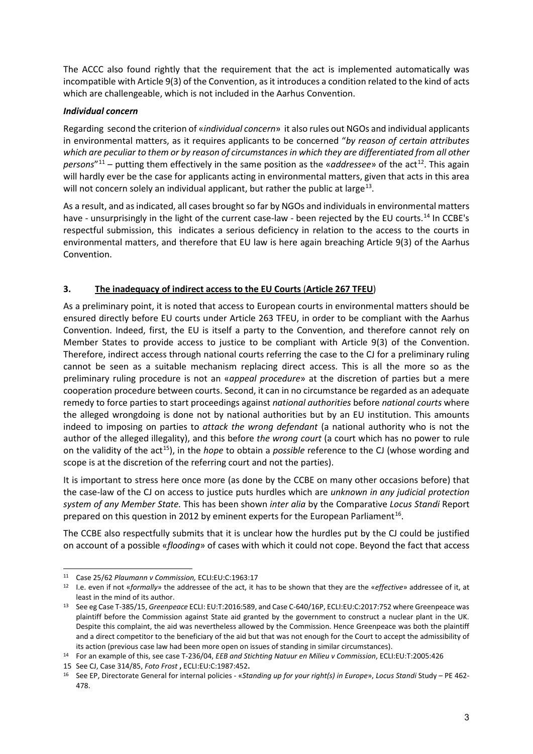The ACCC also found rightly that the requirement that the act is implemented automatically was incompatible with Article 9(3) of the Convention, as it introduces a condition related to the kind of acts which are challengeable, which is not included in the Aarhus Convention.

## *Individual concern*

Regarding second the criterion of «*individual concern*» it also rules out NGOs and individual applicants in environmental matters, as it requires applicants to be concerned "*by reason of certain attributes which are peculiar to them or by reason of circumstances in which they are differentiated from all other persons*"<sup>[11](#page-2-0)</sup> – putting them effectively in the same position as the «*addressee*» of the act<sup>12</sup>. This again will hardly ever be the case for applicants acting in environmental matters, given that acts in this area will not concern solely an individual applicant, but rather the public at large<sup>[13](#page-2-2)</sup>.

As a result, and as indicated, all cases brought so far by NGOs and individuals in environmental matters have - unsurprisingly in the light of the current case-law - been rejected by the EU courts.<sup>[14](#page-2-3)</sup> In CCBE's respectful submission, this indicates a serious deficiency in relation to the access to the courts in environmental matters, and therefore that EU law is here again breaching Article 9(3) of the Aarhus Convention.

## **3. The inadequacy of indirect access to the EU Courts** (**Article 267 TFEU**)

As a preliminary point, it is noted that access to European courts in environmental matters should be ensured directly before EU courts under Article 263 TFEU, in order to be compliant with the Aarhus Convention. Indeed, first, the EU is itself a party to the Convention, and therefore cannot rely on Member States to provide access to justice to be compliant with Article 9(3) of the Convention. Therefore, indirect access through national courts referring the case to the CJ for a preliminary ruling cannot be seen as a suitable mechanism replacing direct access. This is all the more so as the preliminary ruling procedure is not an «*appeal procedure*» at the discretion of parties but a mere cooperation procedure between courts. Second, it can in no circumstance be regarded as an adequate remedy to force parties to start proceedings against *national authorities* before *national courts* where the alleged wrongdoing is done not by national authorities but by an EU institution. This amounts indeed to imposing on parties to *attack the wrong defendant* (a national authority who is not the author of the alleged illegality), and this before *the wrong court* (a court which has no power to rule on the validity of the act<sup>[15](#page-2-4)</sup>), in the *hope* to obtain a *possible* reference to the CJ (whose wording and scope is at the discretion of the referring court and not the parties).

It is important to stress here once more (as done by the CCBE on many other occasions before) that the case-law of the CJ on access to justice puts hurdles which are *unknown in any judicial protection system of any Member State.* This has been shown *inter alia* by the Comparative *Locus Standi* Report prepared on this question in 2012 by eminent experts for the European Parliament<sup>[16](#page-2-5)</sup>.

The CCBE also respectfully submits that it is unclear how the hurdles put by the CJ could be justified on account of a possible «*flooding*» of cases with which it could not cope. Beyond the fact that access

<span id="page-2-0"></span><sup>11</sup> Case 25/62 *Plaumann v Commission,* ECLI:EU:C:1963:17

<span id="page-2-1"></span><sup>12</sup> I.e. even if not «*formally*» the addressee of the act, it has to be shown that they are the «*effective*» addressee of it, at least in the mind of its author.

<span id="page-2-2"></span><sup>13</sup> See eg Case T-385/15, *Greenpeace* ECLI: EU:T:2016:589, and Case C-640/16P, ECLI:EU:C:2017:752 where Greenpeace was plaintiff before the Commission against State aid granted by the government to construct a nuclear plant in the UK. Despite this complaint, the aid was nevertheless allowed by the Commission. Hence Greenpeace was both the plaintiff and a direct competitor to the beneficiary of the aid but that was not enough for the Court to accept the admissibility of its action (previous case law had been more open on issues of standing in similar circumstances).

<span id="page-2-3"></span><sup>14</sup> For an example of this, see case T-236/04, *EEB and Stichting Natuur en Milieu v Commission*, ECLI:EU:T:2005:426

<span id="page-2-4"></span><sup>15</sup> See CJ, Case 314/85, *Foto Frost* **,** ECLI:EU:C:1987:452**.**

<span id="page-2-5"></span><sup>16</sup> See EP, Directorate General for internal policies - «*Standing up for your right(s) in Europe*», *Locus Standi* Study – PE 462- 478.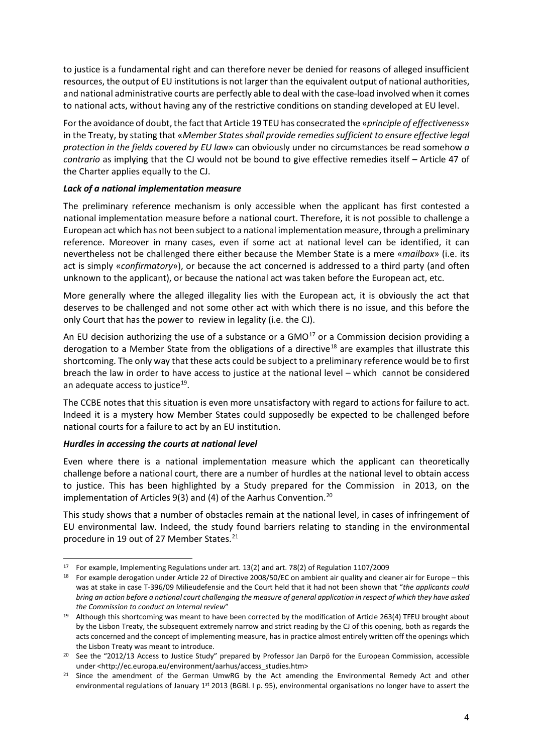to justice is a fundamental right and can therefore never be denied for reasons of alleged insufficient resources, the output of EU institutions is not larger than the equivalent output of national authorities, and national administrative courts are perfectly able to deal with the case-load involved when it comes to national acts, without having any of the restrictive conditions on standing developed at EU level.

For the avoidance of doubt, the fact that Article 19 TEU has consecrated the «*principle of effectiveness*» in the Treaty, by stating that «*Member States shall provide remedies sufficient to ensure effective legal protection in the fields covered by EU la*w» can obviously under no circumstances be read somehow *a contrario* as implying that the CJ would not be bound to give effective remedies itself – Article 47 of the Charter applies equally to the CJ.

#### *Lack of a national implementation measure*

The preliminary reference mechanism is only accessible when the applicant has first contested a national implementation measure before a national court. Therefore, it is not possible to challenge a European act which has not been subject to a national implementation measure, through a preliminary reference. Moreover in many cases, even if some act at national level can be identified, it can nevertheless not be challenged there either because the Member State is a mere «*mailbox*» (i.e. its act is simply «*confirmatory*»), or because the act concerned is addressed to a third party (and often unknown to the applicant), or because the national act was taken before the European act, etc.

More generally where the alleged illegality lies with the European act, it is obviously the act that deserves to be challenged and not some other act with which there is no issue, and this before the only Court that has the power to review in legality (i.e. the CJ).

An EU decision authorizing the use of a substance or a  $GMO<sup>17</sup>$  $GMO<sup>17</sup>$  $GMO<sup>17</sup>$  or a Commission decision providing a derogation to a Member State from the obligations of a directive<sup>18</sup> are examples that illustrate this shortcoming. The only way that these acts could be subject to a preliminary reference would be to first breach the law in order to have access to justice at the national level – which cannot be considered an adequate access to justice<sup>[19](#page-3-2)</sup>.

The CCBE notes that this situation is even more unsatisfactory with regard to actions for failure to act. Indeed it is a mystery how Member States could supposedly be expected to be challenged before national courts for a failure to act by an EU institution.

## *Hurdles in accessing the courts at national level*

Even where there is a national implementation measure which the applicant can theoretically challenge before a national court, there are a number of hurdles at the national level to obtain access to justice. This has been highlighted by a Study prepared for the Commission in 2013, on the implementation of Articles 9(3) and (4) of the Aarhus Convention.<sup>[20](#page-3-3)</sup>

This study shows that a number of obstacles remain at the national level, in cases of infringement of EU environmental law. Indeed, the study found barriers relating to standing in the environmental procedure in 19 out of 27 Member States.<sup>[21](#page-3-4)</sup>

<span id="page-3-0"></span><sup>-</sup><sup>17</sup> For example, Implementing Regulations under art. 13(2) and art. 78(2) of Regulation 1107/2009

<span id="page-3-1"></span><sup>&</sup>lt;sup>18</sup> For example derogation under Article 22 of Directive 2008/50/EC on ambient air quality and cleaner air for Europe – this was at stake in case T-396/09 Milieudefensie and the Court held that it had not been shown that "*the applicants could bring an action before a national court challenging the measure of general application in respect of which they have asked the Commission to conduct an internal review*"

<span id="page-3-2"></span><sup>&</sup>lt;sup>19</sup> Although this shortcoming was meant to have been corrected by the modification of Article 263(4) TFEU brought about by the Lisbon Treaty, the subsequent extremely narrow and strict reading by the CJ of this opening, both as regards the acts concerned and the concept of implementing measure, has in practice almost entirely written off the openings which the Lisbon Treaty was meant to introduce.

<span id="page-3-3"></span><sup>&</sup>lt;sup>20</sup> See the "2012/13 Access to Justice Study" prepared by Professor Jan Darpö for the European Commission, accessible under <http://ec.europa.eu/environment/aarhus/access\_studies.htm>

<span id="page-3-4"></span><sup>&</sup>lt;sup>21</sup> Since the amendment of the German UmwRG by the Act amending the Environmental Remedy Act and other environmental regulations of January 1st 2013 (BGBl. I p. 95), environmental organisations no longer have to assert the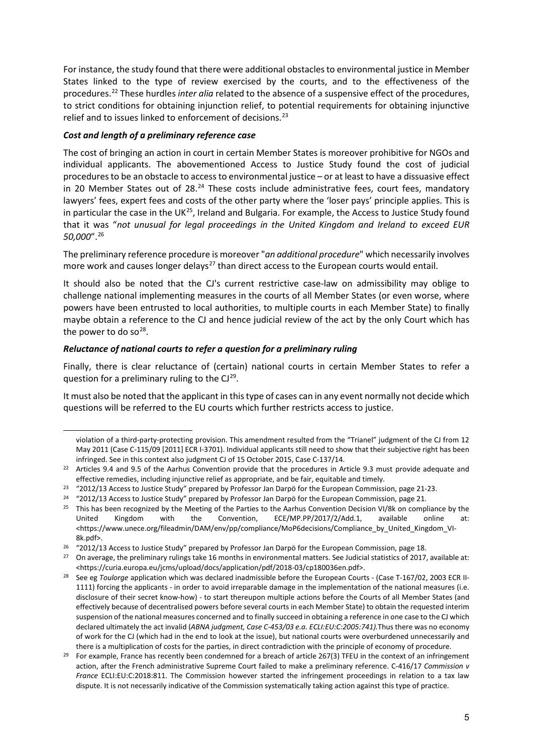For instance, the study found that there were additional obstacles to environmental justice in Member States linked to the type of review exercised by the courts, and to the effectiveness of the procedures.[22](#page-4-0) These hurdles *inter alia* related to the absence of a suspensive effect of the procedures, to strict conditions for obtaining injunction relief, to potential requirements for obtaining injunctive relief and to issues linked to enforcement of decisions.<sup>[23](#page-4-1)</sup>

## *Cost and length of a preliminary reference case*

-

The cost of bringing an action in court in certain Member States is moreover prohibitive for NGOs and individual applicants. The abovementioned Access to Justice Study found the cost of judicial procedures to be an obstacle to access to environmental justice – or at least to have a dissuasive effect in 20 Member States out of 28.<sup>[24](#page-4-2)</sup> These costs include administrative fees, court fees, mandatory lawyers' fees, expert fees and costs of the other party where the 'loser pays' principle applies. This is in particular the case in the UK $^{25}$  $^{25}$  $^{25}$ , Ireland and Bulgaria. For example, the Access to Justice Study found that it was "*not unusual for legal proceedings in the United Kingdom and Ireland to exceed EUR 50,000*".[26](#page-4-4)

The preliminary reference procedure is moreover "*an additional procedure*" which necessarily involves more work and causes longer delays<sup>[27](#page-4-5)</sup> than direct access to the European courts would entail.

It should also be noted that the CJ's current restrictive case-law on admissibility may oblige to challenge national implementing measures in the courts of all Member States (or even worse, where powers have been entrusted to local authorities, to multiple courts in each Member State) to finally maybe obtain a reference to the CJ and hence judicial review of the act by the only Court which has the power to do so<sup>[28](#page-4-6)</sup>.

#### *Reluctance of national courts to refer a question for a preliminary ruling*

Finally, there is clear reluctance of (certain) national courts in certain Member States to refer a question for a preliminary ruling to the  $Cl<sup>29</sup>$ .

It must also be noted that the applicant in this type of cases can in any event normally not decide which questions will be referred to the EU courts which further restricts access to justice.

violation of a third-party-protecting provision. This amendment resulted from the "Trianel" judgment of the CJ from 12 May 2011 (Case C-115/09 [2011] ECR I-3701). Individual applicants still need to show that their subjective right has been infringed. See in this context also judgment CJ of 15 October 2015, Case C-137/14.

<span id="page-4-0"></span><sup>&</sup>lt;sup>22</sup> Articles 9.4 and 9.5 of the Aarhus Convention provide that the procedures in Article 9.3 must provide adequate and effective remedies, including injunctive relief as appropriate, and be fair, equitable and timely.

<span id="page-4-1"></span><sup>&</sup>lt;sup>23</sup> "2012/13 Access to Justice Study" prepared by Professor Jan Darpö for the European Commission, page 21-23.

<span id="page-4-2"></span><sup>&</sup>lt;sup>24</sup> "2012/13 Access to Justice Study" prepared by Professor Jan Darpö for the European Commission, page 21.

<span id="page-4-3"></span><sup>&</sup>lt;sup>25</sup> This has been recognized by the Meeting of the Parties to the Aarhus Convention Decision VI/8k on compliance by the United Kingdom with the Convention, ECE/MP.PP/2017/2/Add.1, available online at: United Kingdom with the Convention, ECE/MP.PP/2017/2/Add.1, available online at: <https://www.unece.org/fileadmin/DAM/env/pp/compliance/MoP6decisions/Compliance\_by\_United\_Kingdom\_VI-8k.pdf>.

<span id="page-4-4"></span><sup>&</sup>lt;sup>26</sup> "2012/13 Access to Justice Study" prepared by Professor Jan Darpö for the European Commission, page 18.

<span id="page-4-5"></span><sup>&</sup>lt;sup>27</sup> On average, the preliminary rulings take 16 months in environmental matters. See Judicial statistics of 2017, available at: <https://curia.europa.eu/jcms/upload/docs/application/pdf/2018-03/cp180036en.pdf>.

<span id="page-4-6"></span><sup>&</sup>lt;sup>28</sup> See eg *Toulorge* application which was declared inadmissible before the European Courts - (Case T-167/02, 2003 ECR II-1111) forcing the applicants - in order to avoid irreparable damage in the implementation of the national measures (i.e. disclosure of their secret know-how) - to start thereupon multiple actions before the Courts of all Member States (and effectively because of decentralised powers before several courts in each Member State) to obtain the requested interim suspension of the national measures concerned and to finally succeed in obtaining a reference in one case to the CJ which declared ultimately the act invalid (*ABNA judgment, Case C-453/03 e.a. ECLI:EU:C:2005:741).*Thus there was no economy of work for the CJ (which had in the end to look at the issue), but national courts were overburdened unnecessarily and there is a multiplication of costs for the parties, in direct contradiction with the principle of economy of procedure.

<span id="page-4-7"></span><sup>&</sup>lt;sup>29</sup> For example, France has recently been condemned for a breach of article 267(3) TFEU in the context of an infringement action, after the French administrative Supreme Court failed to make a preliminary reference. C-416/17 *Commission v France* ECLI:EU:C:2018:811. The Commission however started the infringement proceedings in relation to a tax law dispute. It is not necessarily indicative of the Commission systematically taking action against this type of practice.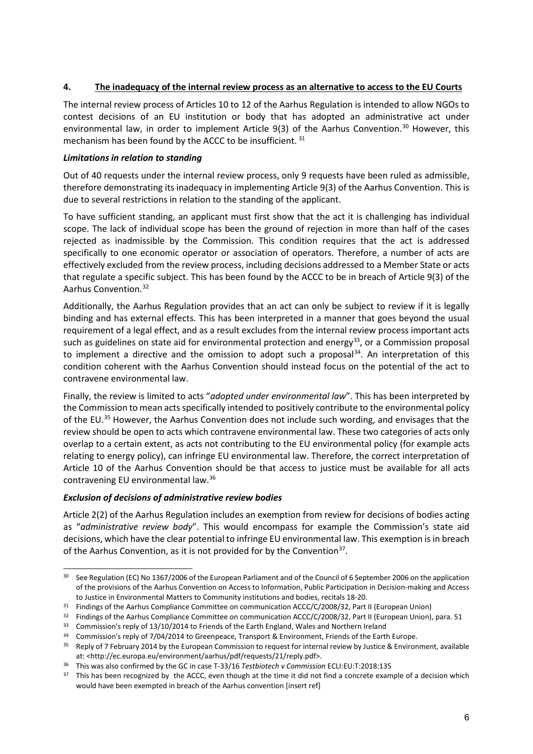## **4. The inadequacy of the internal review process as an alternative to access to the EU Courts**

The internal review process of Articles 10 to 12 of the Aarhus Regulation is intended to allow NGOs to contest decisions of an EU institution or body that has adopted an administrative act under environmental law, in order to implement Article  $9(3)$  of the Aarhus Convention.<sup>[30](#page-5-0)</sup> However, this mechanism has been found by the ACCC to be insufficient. [31](#page-5-1)

## *Limitations in relation to standing*

Out of 40 requests under the internal review process, only 9 requests have been ruled as admissible, therefore demonstrating its inadequacy in implementing Article 9(3) of the Aarhus Convention. This is due to several restrictions in relation to the standing of the applicant.

To have sufficient standing, an applicant must first show that the act it is challenging has individual scope. The lack of individual scope has been the ground of rejection in more than half of the cases rejected as inadmissible by the Commission. This condition requires that the act is addressed specifically to one economic operator or association of operators. Therefore, a number of acts are effectively excluded from the review process, including decisions addressed to a Member State or acts that regulate a specific subject. This has been found by the ACCC to be in breach of Article 9(3) of the Aarhus Convention.[32](#page-5-2)

Additionally, the Aarhus Regulation provides that an act can only be subject to review if it is legally binding and has external effects. This has been interpreted in a manner that goes beyond the usual requirement of a legal effect, and as a result excludes from the internal review process important acts such as guidelines on state aid for environmental protection and energy<sup>[33](#page-5-3)</sup>, or a Commission proposal to implement a directive and the omission to adopt such a proposal $34$ . An interpretation of this condition coherent with the Aarhus Convention should instead focus on the potential of the act to contravene environmental law.

Finally, the review is limited to acts "*adopted under environmental law*". This has been interpreted by the Commission to mean acts specifically intended to positively contribute to the environmental policy of the EU.<sup>35</sup> However, the Aarhus Convention does not include such wording, and envisages that the review should be open to acts which contravene environmental law. These two categories of acts only overlap to a certain extent, as acts not contributing to the EU environmental policy (for example acts relating to energy policy), can infringe EU environmental law. Therefore, the correct interpretation of Article 10 of the Aarhus Convention should be that access to justice must be available for all acts contravening EU environmental law.[36](#page-5-6)

## *Exclusion of decisions of administrative review bodies*

Article 2(2) of the Aarhus Regulation includes an exemption from review for decisions of bodies acting as "*administrative review body*". This would encompass for example the Commission's state aid decisions, which have the clear potential to infringe EU environmental law. This exemption is in breach of the Aarhus Convention, as it is not provided for by the Convention<sup>37</sup>.

<span id="page-5-0"></span><sup>30</sup> See Regulation (EC) No 1367/2006 of the European Parliament and of the Council of 6 September 2006 on the application of the provisions of the Aarhus Convention on Access to Information, Public Participation in Decision-making and Access to Justice in Environmental Matters to Community institutions and bodies, recitals 18-20.

<span id="page-5-1"></span><sup>&</sup>lt;sup>31</sup> Findings of the Aarhus Compliance Committee on communication ACCC/C/2008/32, Part II (European Union)

<span id="page-5-2"></span><sup>&</sup>lt;sup>32</sup> Findings of the Aarhus Compliance Committee on communication ACCC/C/2008/32, Part II (European Union), para. 51

<span id="page-5-3"></span><sup>&</sup>lt;sup>33</sup> Commission's reply of 13/10/2014 to Friends of the Earth England, Wales and Northern Ireland

<span id="page-5-4"></span><sup>34</sup> Commission's reply of 7/04/2014 to Greenpeace, Transport & Environment, Friends of the Earth Europe.

<span id="page-5-5"></span><sup>&</sup>lt;sup>35</sup> Reply of 7 February 2014 by the European Commission to request for internal review by Justice & Environment, available at: <http://ec.europa.eu/environment/aarhus/pdf/requests/21/reply.pdf>.

<span id="page-5-6"></span><sup>36</sup> This was also confirmed by the GC in case T-33/16 *Testbiotech v Commission* ECLI:EU:T:2018:135

<span id="page-5-7"></span><sup>&</sup>lt;sup>37</sup> This has been recognized by the ACCC, even though at the time it did not find a concrete example of a decision which would have been exempted in breach of the Aarhus convention [insert ref]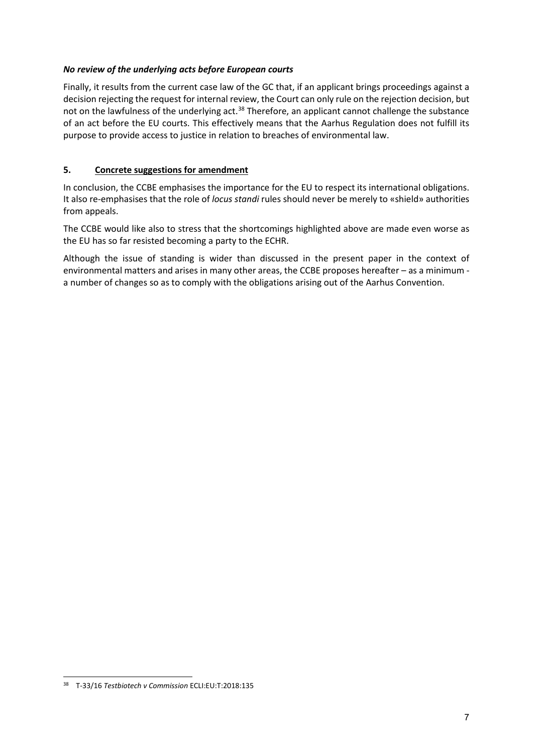## *No review of the underlying acts before European courts*

Finally, it results from the current case law of the GC that, if an applicant brings proceedings against a decision rejecting the request for internal review, the Court can only rule on the rejection decision, but not on the lawfulness of the underlying act.<sup>[38](#page-6-0)</sup> Therefore, an applicant cannot challenge the substance of an act before the EU courts. This effectively means that the Aarhus Regulation does not fulfill its purpose to provide access to justice in relation to breaches of environmental law.

## **5. Concrete suggestions for amendment**

In conclusion, the CCBE emphasises the importance for the EU to respect its international obligations. It also re-emphasises that the role of *locus standi* rules should never be merely to «shield» authorities from appeals.

The CCBE would like also to stress that the shortcomings highlighted above are made even worse as the EU has so far resisted becoming a party to the ECHR.

Although the issue of standing is wider than discussed in the present paper in the context of environmental matters and arises in many other areas, the CCBE proposes hereafter – as a minimum a number of changes so as to comply with the obligations arising out of the Aarhus Convention.

<span id="page-6-0"></span><sup>-</sup><sup>38</sup> T-33/16 *Testbiotech v Commission* ECLI:EU:T:2018:135